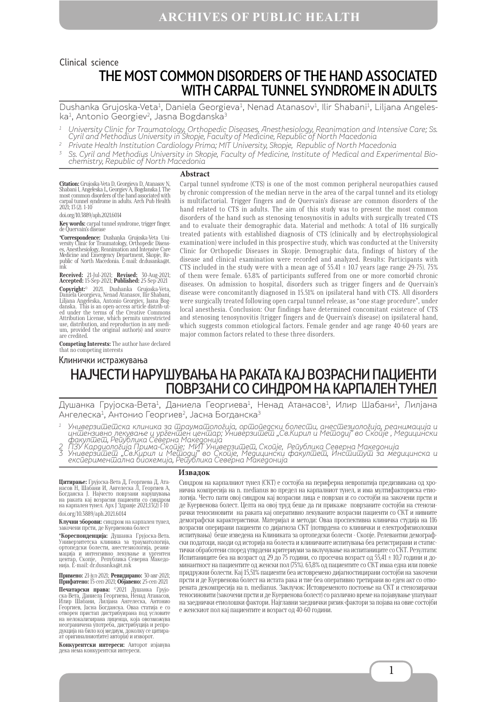## THE MOST COMMON DISORDERS OF THE HAND ASSOCIATED WITH CARPAL TUNNEL SYNDROME IN ADULTS Clinical science

Dushanka Grujoska-Veta<sup>1</sup>, Daniela Georgieva<sup>1</sup>, Nenad Atanasov<sup>1</sup>, Ilir Shabani<sup>1</sup>, Liljana Angeleska<sup>1</sup>, Antonio Georgiev<sup>2</sup>, Jasna Bogdanska<sup>3</sup>

- $^{\rm 1}$  University Clinic for Traumatology, Orthopedic Diseases, Anesthesiology, Reanimation and Intensive Care; Ss. Cyril and Methodius University in Skopje, Faculty of Medicine, Republic of North Macedonia
- <sup>2</sup> Private Health Institution Cardiology Prima; MIT University, Skopje, Republic of North Macedonia
- <sup>3</sup> Ss. Cyril and Methodius University in Skopje, Faculty of Medicine, Institute of Medical and Experimental Bio- chemistry, Republic of North Macedonia

#### **Abstract**

**Citation:** Grujoska-Veta D, Georgieva D, Atanasov N,<br>Shabani I, Angeleska L, Georgiev A, Bogdanska J. The<br>most common disorders of the hand associated with carpal tunnel syndrome in adults. Arch Pub Health 2021; 13 (2). 1-10

doi.org/10.3889/aph.2021.6014

**Key words:** carpal tunnel syndrome, trigger finger, de Quervain's disease

**\*Correspondence:** Dushanka Grujoska-Veta Uni-versity Clinic for Traumatology, Orthopedic Diseases, Anesthesiology, Reanimation and Intensive Care Medicine and Emergency Department, Skopje, Re-public of North Macedonia. Е-mail: dr.dusanka@t. mk

**Received:** 21-Jul-2021; **Revised:** 30-Aug-2021; **Accepted:** 15-Sep-2021; **Published:** 25-Sep-2021 **Copyright:**© 2021. Dushanka Grujoska-Veta, Daniela Georgieva, Nenad Atanasov, Ilir Shabani, Liljana Angeleska, Antonio Georgiev, Jasna Bog-danska. This is an open-access article distrib-uted under the terms of the Creative Commons Attribution License, which permits unrestricted use, distribution, and reproduction in any medi- um, provided the original author(s) and source are credited.

**Competing Interests:** The author have declared that no competing interests

### Клинички истражувања

Carpal tunnel syndrome (CTS) is one of the most common peripheral neuropathies caused by chronic compression of the median nerve in the area of the carpal tunnel and its etiology is multifactorial. Trigger fingers and de Quervain's disease are common disorders of the hand related to CTS in adults. The aim of this study was to present the most common disorders of the hand such as stenosing tenosynovitis in adults with surgically treated CTS and to evaluate their demographic data. Material and methods: A total of 116 surgically treated patients with established diagnosis of CTS (clinically and by electrophysiological examination) were included in this prospective study, which was conducted at the University Clinic for Orthopedic Diseases in Skopje. Demographic data, findings of history of the disease and clinical examination were recorded and analyzed. Results: Participants with CTS included in the study were with a mean age of  $55.41 \pm 10.7$  years (age range 29-75). 75% of them were female. 63.8% of participants suffered from one or more comorbid chronic diseases. On admission to hospital, disorders such as trigger fingers and de Quervain's disease were concomitantly diagnosed in 15.51% on ipsilateral hand with CTS. All disorders were surgically treated following open carpal tunnel release, as "one stage procedure", under local anesthesia. Conclusion: Our findings have determined concomitant existence of CTS and stenosing tenosynovitis (trigger fingers and de Quervain's disease) on ipsilateral hand, which suggests common etiological factors. Female gender and age range 40-60 years are major common factors related to these three disorders.

# НАЈЧЕСТИ НАРУШУВАЊА НА РАКАТА КАЈ ВОЗРАСНИ ПАЦИЕНТИ ПОВРЗАНИ СО СИНДРОМ НА КАРПАЛЕН ТУНЕЛ

Душанка Грујоска-Вета<sup>1</sup>, Даниела Георгиева<sup>1</sup>, Ненад Атанасов<sup>1</sup>, Илир Шабани<sup>1</sup>, Лилјана Ангелеска<sup>1</sup>, Антонио Георгиев<sup>2</sup>, Јасна Богданска<sup>3</sup>

- $^{\rm 1}$  Универзи $\overline{\rm u}$ ешска клиника за  $\overline{\rm u}$ раума $\overline{\rm u}$ олог $\overline{\rm u}$ ја, ор $\overline{\rm u}$ ого $\overline{\rm u}$ олог $\overline{\rm u}$ а, реанимација и иншензивно лекување и ургеншен ценшар; Универзишеш "Св.Кирил и Мешодиј" во Скопје , Медицински факулшеш, Република Северна Македонија<br>2 ПЗУ Кардиологија Прима-Скопје; МИТ Универзишеш, Скопје, Република Северна Македонија<br>3 Универзишеш "Св.Кирил и Мешодиј" во Скопје, Медицински факулшеш, Инсшишуш за медицинска и
- 
- ексūеримен $\overline{\mathrm{u}}$ а́лна биохемија, Рейублика Северна Македонија

**Цитирање:** Грујоска-Вета Д, Георгиева Д, Ата-<br>насов Н, Шабани И, Ангелеска Л, Георгиев А,<br>Богданска Ј. Најчесто поврзани нарушувања<br>на раката кај возрасни пациенти со синдром<br>на карпален тунел. Арх Ј Здравје 2021;13(2) 1 doi.org/10.3889/aph.2021.6014

**Клучни зборови:** синдром на карпален тунел, закочени прсти, де Куервенова болест

**\*Кореспонденција:** Душанка Грујоска-Вета. торсенонденира: душанка групска вета:<br>Универзитетска клиника за трауматологија,<br>ортопедски болести, анестезиологија, реаниортопедски болести, анестезиологија, реани-<br>мација и интензивно лекување и ургентен центар, Скопје, Република Северна Македо-<br>нија. E-mail: dr.dusanka@t.mk

**Примено:** 21-јул-2021; **Ревидирано:** 30-авг-2021; **Прифатено:** 15-сеп-2021; **Објавено:** 25-сеп-2021 **Печатарски права: ®2021 Ду**шанка Грујо-<br>ска-Вета, Даниела Георгиева, Ненад Атанасов,<br>Илир Шабани, Лилјана Ангелеска, Антонио Георгиев, Јасна Богданска. Оваа статија е со отворен пристап дистрибуирана под условите на нелокализирана лиценца, која овозможува<br>неограничена употреба, дистрибуција и репродукција на било кој медиум, доколку се цитира-<br>ат оригиналниот(ите) автор(и) и изворот.

**Конкурентски интереси:** Авторот изјавува дека нема конкурентски интереси.

### **Извадок**

Синдром на карпалниот тунел (СКТ) е состојба на периферна невропатија предизвикана од хронична компресија на n. medianus во предел на карпалниот тунел, и има мултифакториска етиологија. Често пати овој синдром кај возрасни лица е поврзан и со состојби на закочени прсти и де Куервенова болест. Целта на овој труд беше да ги прикаже поврзаните состојби на стенозирачки теносиновити на раката кај оперативно лекуваните возрасни пациенти со СКТ и нивните демографски карактеристики. Материјал и методи: Оваа проспективна клиничка студија на 116 возрасни оперирани пациенти со дијагноза СКТ (потврдена со клинички и електрофизиолошки испитувања) беше изведена на Клиниката за ортопедски болести - Скопје. Релевантни демографски податоци, наоди од историја на болеста и клиничките испитувања беа регистрирани и статистички обработени според утврдени критериуми за вклучување на испитаниците со СКТ. Резултати: Испитаниците беа на возраст од 29 до 75 години, со просечна возраст од 55,41 ± 10,7 години и доминантност на пациентите од женски пол (75%). 63,8% од пациентите со СКТ имаа една или повеќе придружни болести. Кај 15,51% пациенти беа истовремено дијагностицирани состојби на закочени прсти и де Куервенова болест на истата рака и тие беа оперативно третирани во еден акт со отворената декомпресија на n. medianus. Заклучок: Истовременото постоење на СКТ и стенозирачки теносиновити (закочени прсти и де Куервенова болест) со различно време на појавување упатуваат на заеднички етиолошки фактори. Најглавни заеднички ризик-фактори за појава на овие состојби е женскиот пол кај пациентите и возраст од 40-60 години.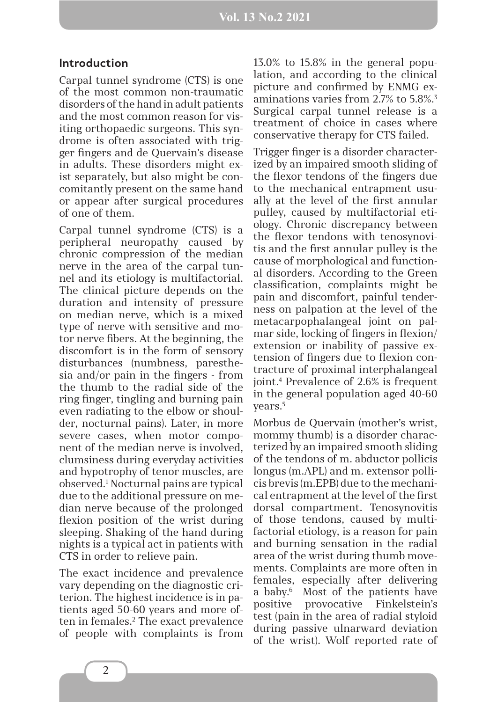## **Introduction**

Carpal tunnel syndrome (CTS) is one of the most common non-traumatic disorders of the hand in adult patients and the most common reason for visiting orthopaedic surgeons. This syndrome is often associated with trigger fingers and de Quervain's disease in adults. These disorders might exist separately, but also might be concomitantly present on the same hand or appear after surgical procedures of one of them.

Carpal tunnel syndrome (CTS) is a peripheral neuropathy caused by chronic compression of the median nerve in the area of the carpal tunnel and its etiology is multifactorial. The clinical picture depends on the duration and intensity of pressure on median nerve, which is a mixed type of nerve with sensitive and motor nerve fibers. At the beginning, the discomfort is in the form of sensory disturbances (numbness, paresthesia and/or pain in the fingers - from the thumb to the radial side of the ring finger, tingling and burning pain even radiating to the elbow or shoulder, nocturnal pains). Later, in more severe cases, when motor component of the median nerve is involved, clumsiness during everyday activities and hypotrophy of tenor muscles, are observed.1 Nocturnal pains are typical due to the additional pressure on median nerve because of the prolonged flexion position of the wrist during sleeping. Shaking of the hand during nights is a typical act in patients with CTS in order to relieve pain.

The exact incidence and prevalence vary depending on the diagnostic criterion. The highest incidence is in patients aged 50-60 years and more often in females.2 The exact prevalence of people with complaints is from 13.0% to 15.8% in the general population, and according to the clinical picture and confirmed by ENMG examinations varies from 2.7% to 5.8%.3 Surgical carpal tunnel release is a treatment of choice in cases where conservative therapy for CTS failed.

Trigger finger is a disorder characterized by an impaired smooth sliding of the flexor tendons of the fingers due to the mechanical entrapment usually at the level of the first annular pulley, caused by multifactorial etiology. Chronic discrepancy between the flexor tendons with tenosynovitis and the first annular pulley is the cause of morphological and functional disorders. According to the Green classification, complaints might be pain and discomfort, painful tenderness on palpation at the level of the metacarpophalangeal joint on palmar side, locking of fingers in flexion/ extension or inability of passive extension of fingers due to flexion contracture of proximal interphalangeal joint.4 Prevalence of 2.6% is frequent in the general population aged 40-60 years.5

Morbus de Quervain (mother's wrist, mommy thumb) is a disorder characterized by an impaired smooth sliding of the tendons of m. abductor pollicis longus (m.APL) and m. extensor pollicis brevis (m.EPB) due to the mechanical entrapment at the level of the first dorsal compartment. Tenosynovitis of those tendons, caused by multifactorial etiology, is a reason for pain and burning sensation in the radial area of the wrist during thumb movements. Complaints are more often in females, especially after delivering a baby.6 Most of the patients have positive provocative Finkelstein's test (pain in the area of radial styloid during passive ulnarward deviation of the wrist). Wolf reported rate of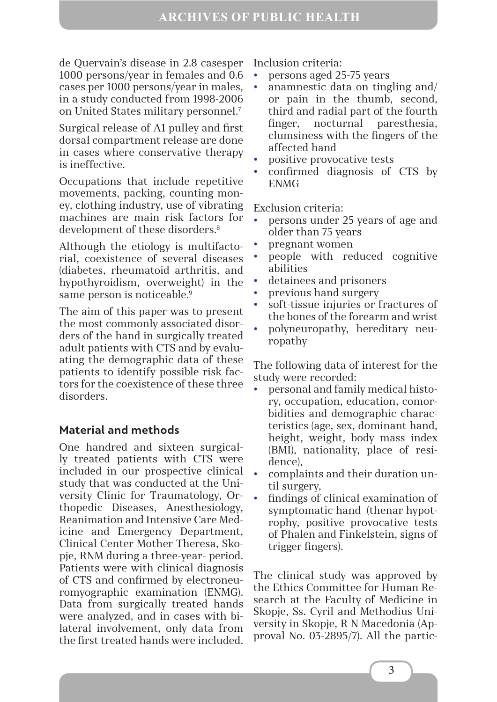de Quervain's disease in 2.8 casesper 1000 persons/year in females and 0.6 cases per 1000 persons/year in males, in a study conducted from 1998-2006 on United States military personnel.7

Surgical release of A1 pulley and first dorsal compartment release are done in cases where conservative therapy is ineffective.

Occupations that include repetitive movements, packing, counting money, clothing industry, use of vibrating machines are main risk factors for development of these disorders.<sup>8</sup>

Although the etiology is multifactorial, coexistence of several diseases (diabetes, rheumatoid arthritis, and hypothyroidism, overweight) in the same person is noticeable.<sup>9</sup>

The aim of this paper was to present the most commonly associated disorders of the hand in surgically treated adult patients with CTS and by evaluating the demographic data of these patients to identify possible risk factors for the coexistence of these three disorders.

## **Material and methods**

One handred and sixteen surgically treated patients with CTS were included in our prospective clinical study that was conducted at the University Clinic for Traumatology, Orthopedic Diseases, Anesthesiology, Reanimation and Intensive Care Medicine and Emergency Department, Clinical Center Mother Theresa, Skopje, RNM during a three-year- period. Patients were with clinical diagnosis of CTS and confirmed by electroneuromyographic examination (ENMG). Data from surgically treated hands were analyzed, and in cases with bilateral involvement, only data from the first treated hands were included.

Inclusion criteria:

- y persons aged 25-75 years
- anamnestic data on tingling and/ or pain in the thumb, second, third and radial part of the fourth finger, nocturnal paresthesia, clumsiness with the fingers of the affected hand
- y positive provocative tests
- y confirmed diagnosis of CTS by ENMG

Exclusion criteria:

- y persons under 25 years of age and older than 75 years
- y pregnant women
- y people with reduced cognitive abilities
- detainees and prisoners
- y previous hand surgery
- soft-tissue injuries or fractures of the bones of the forearm and wrist
- y polyneuropathy, hereditary neuropathy

The following data of interest for the study were recorded:

- y personal and family medical history, occupation, education, comorbidities and demographic characteristics (age, sex, dominant hand, height, weight, body mass index (BMI), nationality, place of residence),
- complaints and their duration until surgery,
- findings of clinical examination of symptomatic hand (thenar hypotrophy, positive provocative tests of Phalen and Finkelstein, signs of trigger fingers).

The clinical study was approved by the Ethics Committee for Human Research at the Faculty of Medicine in Skopje, Ss. Cyril and Methodius University in Skopje, R N Macedonia (Approval No. 03-2895/7). All the partic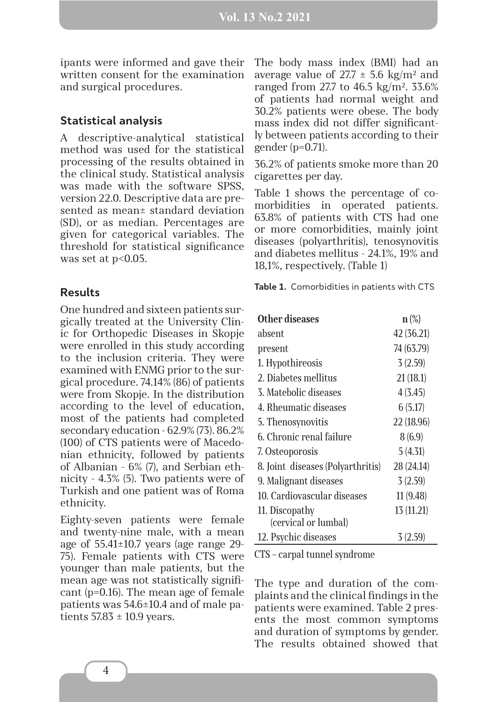ipants were informed and gave their written consent for the examination and surgical procedures.

## **Statistical analysis**

A descriptive-analytical statistical method was used for the statistical processing of the results obtained in the clinical study. Statistical analysis was made with the software SPSS, version 22.0. Descriptive data are presented as mean± standard deviation (SD), or as median. Percentages are given for categorical variables. The threshold for statistical significance was set at  $p<0.05$ .

## **Results**

One hundred and sixteen patients surgically treated at the University Clinic for Orthopedic Diseases in Skopje were enrolled in this study according to the inclusion criteria. They were examined with ENMG prior to the surgical procedure. 74.14% (86) of patients were from Skopje. In the distribution according to the level of education, most of the patients had completed secondary education - 62.9% (73). 86.2% (100) of CTS patients were of Macedonian ethnicity, followed by patients of Albanian - 6% (7), and Serbian ethnicity - 4.3% (5). Two patients were of Turkish and one patient was of Roma ethnicity.

Eighty-seven patients were female and twenty-nine male, with a mean age of 55.41±10.7 years (age range 29- 75). Female patients with CTS were younger than male patients, but the mean age was not statistically significant (p=0.16). The mean age of female patients was 54.6±10.4 and of male patients  $57.83 \pm 10.9$  years.

The body mass index (BMI) had an average value of  $27.7 \pm 5.6$  kg/m<sup>2</sup> and ranged from 27.7 to 46.5 kg/m². 33.6% of patients had normal weight and 30.2% patients were obese. The body mass index did not differ significantly between patients according to their gender (p=0.71).

36.2% of patients smoke more than 20 cigarettes per day.

Table 1 shows the percentage of comorbidities in operated patients. 63.8% of patients with CTS had one or more comorbidities, mainly joint diseases (polyarthritis), tenosynovitis and diabetes mellitus - 24.1%, 19% and 18,1%, respectively. (Table 1)

**Table 1.** Comorbidities in patients with CTS

| Other diseases                    | $n(\%)$    |
|-----------------------------------|------------|
| absent                            | 42 (36.21) |
| present                           | 74 (63.79) |
| 1. Hypothireosis                  | 3(2.59)    |
| 2. Diabetes mellitus              | 21(18.1)   |
| 3. Matebolic diseases             | 4(3.45)    |
| 4. Rheumatic diseases             | 6(5.17)    |
| 5. Thenosynovitis                 | 22 (18.96) |
| 6. Chronic renal failure          | 8(6.9)     |
| 7. Osteoporosis                   | 5(4.31)    |
| 8. Joint diseases (Polyarthritis) | 28 (24.14) |
| 9. Malignant diseases             | 3(2.59)    |
| 10. Cardiovascular diseases       | 11(9.48)   |
| 11. Discopathy                    | 13 (11.21) |
| (cervical or lumbal)              |            |
| 12. Psychic diseases              | 3(2.59)    |

CTS – carpal tunnel syndrome

The type and duration of the complaints and the clinical findings in the patients were examined. Table 2 presents the most common symptoms and duration of symptoms by gender. The results obtained showed that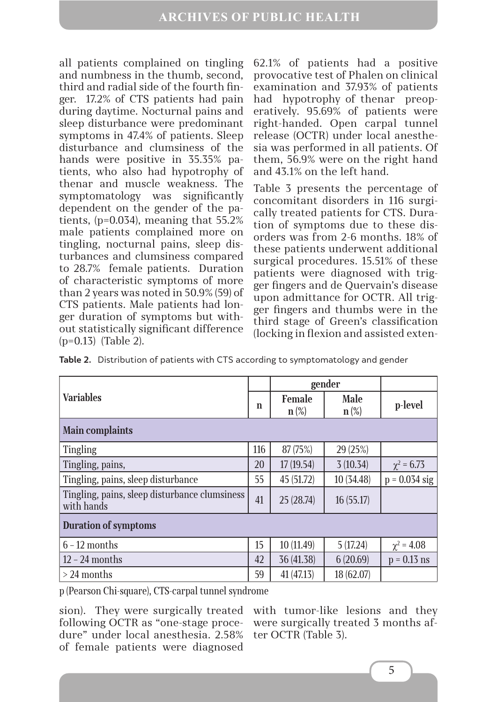all patients complained on tingling and numbness in the thumb, second, third and radial side of the fourth finger. 17.2% of CTS patients had pain during daytime. Nocturnal pains and sleep disturbance were predominant symptoms in 47.4% of patients. Sleep disturbance and clumsiness of the hands were positive in 35.35% patients, who also had hypotrophy of thenar and muscle weakness. The symptomatology was significantly dependent on the gender of the patients, (p=0.034), meaning that 55.2% male patients complained more on tingling, nocturnal pains, sleep disturbances and clumsiness compared to 28.7% female patients. Duration of characteristic symptoms of more than 2 years was noted in 50.9% (59) of CTS patients. Male patients had longer duration of symptoms but without statistically significant difference (p=0.13) (Table 2).

62.1% of patients had a positive provocative test of Phalen on clinical examination and 37.93% of patients had hypotrophy of thenar preoperatively. 95.69% of patients were right-handed. Open carpal tunnel release (OCTR) under local anesthesia was performed in all patients. Of them, 56.9% were on the right hand and 43.1% on the left hand.

Table 3 presents the percentage of concomitant disorders in 116 surgically treated patients for CTS. Duration of symptoms due to these disorders was from 2-6 months. 18% of these patients underwent additional surgical procedures. 15.51% of these patients were diagnosed with trigger fingers and de Quervain's disease upon admittance for OCTR. All trigger fingers and thumbs were in the third stage of Green's classification (locking in flexion and assisted exten-

|  |  |  |  |  | Table 2. Distribution of patients with CTS according to symptomatology and gender |  |  |
|--|--|--|--|--|-----------------------------------------------------------------------------------|--|--|
|--|--|--|--|--|-----------------------------------------------------------------------------------|--|--|

| <b>Variables</b>                                            |     | gender                              |                                                 |                   |  |  |
|-------------------------------------------------------------|-----|-------------------------------------|-------------------------------------------------|-------------------|--|--|
|                                                             |     | <b>Female</b><br>$n\left(\%\right)$ | <b>Male</b><br>$n\left(\frac{\infty}{6}\right)$ | p-level           |  |  |
| <b>Main complaints</b>                                      |     |                                     |                                                 |                   |  |  |
| <b>Tingling</b>                                             | 116 | 87(75%)                             | 29 (25%)                                        |                   |  |  |
| Tingling, pains,                                            | 20  | 17(19.54)                           | 3(10.34)                                        | $\chi^2 = 6.73$   |  |  |
| Tingling, pains, sleep disturbance                          | 55  | 45 (51.72)                          | 10 (34.48)                                      | $p = 0.034$ sig   |  |  |
| Tingling, pains, sleep disturbance clumsiness<br>with hands | 41  | 25(28.74)                           | 16(55.17)                                       |                   |  |  |
| <b>Duration of symptoms</b>                                 |     |                                     |                                                 |                   |  |  |
| $6 - 12$ months                                             | 15  | 10 (11.49)                          | 5(17.24)                                        | $\gamma^2 = 4.08$ |  |  |
| $12 - 24$ months                                            | 42  | 36 (41.38)                          | 6(20.69)                                        | $p = 0.13$ ns     |  |  |
| $>$ 24 months                                               | 59  | 41(47.13)                           | 18 (62.07)                                      |                   |  |  |

p (Pearson Chi-square), CTS-carpal tunnel syndrome

following OCTR as "one-stage procedure" under local anesthesia. 2.58% of female patients were diagnosed

sion). They were surgically treated with tumor-like lesions and they were surgically treated 3 months after OCTR (Table 3).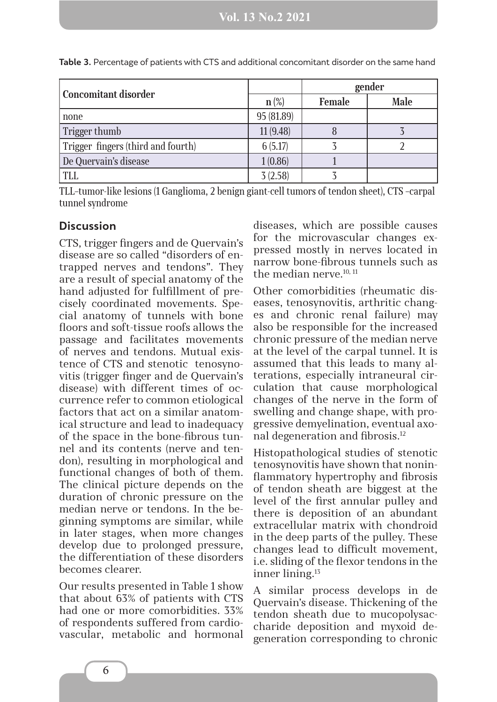| <b>Concomitant disorder</b>        |            | gender        |             |  |
|------------------------------------|------------|---------------|-------------|--|
|                                    | $n(\%)$    | <b>Female</b> | <b>Male</b> |  |
| none                               | 95 (81.89) |               |             |  |
| Trigger thumb                      | 11(9.48)   | Ŏ             |             |  |
| Trigger fingers (third and fourth) | 6(5.17)    |               |             |  |
| De Quervain's disease              | 1(0.86)    |               |             |  |
| TLL                                | 3(2.58)    |               |             |  |

**Table 3.** Percentage of patients with CTS and additional concomitant disorder on the same hand

TLL–tumor-like lesions (1 Ganglioma, 2 benign giant-cell tumors of tendon sheet), CTS –carpal tunnel syndrome

### **Discussion**

CTS, trigger fingers and de Quervain's disease are so called "disorders of entrapped nerves and tendons". They are a result of special anatomy of the hand adjusted for fulfillment of precisely coordinated movements. Special anatomy of tunnels with bone floors and soft-tissue roofs allows the passage and facilitates movements of nerves and tendons. Mutual existence of CTS and stenotic tenosynovitis (trigger finger and de Quervain's disease) with different times of occurrence refer to common etiological factors that act on a similar anatomical structure and lead to inadequacy of the space in the bone-fibrous tunnel and its contents (nerve and tendon), resulting in morphological and functional changes of both of them. The clinical picture depends on the duration of chronic pressure on the median nerve or tendons. In the beginning symptoms are similar, while in later stages, when more changes develop due to prolonged pressure, the differentiation of these disorders becomes clearer.

Our results presented in Table 1 show that about 63% of patients with CTS had one or more comorbidities. 33% of respondents suffered from cardiovascular, metabolic and hormonal diseases, which are possible causes for the microvascular changes expressed mostly in nerves located in narrow bone-fibrous tunnels such as the median nerve.<sup>10, 11</sup>

Other comorbidities (rheumatic diseases, tenosynovitis, arthritic changes and chronic renal failure) may also be responsible for the increased chronic pressure of the median nerve at the level of the carpal tunnel. It is assumed that this leads to many alterations, especially intraneural circulation that cause morphological changes of the nerve in the form of swelling and change shape, with progressive demyelination, eventual axonal degeneration and fibrosis.12

Histopathological studies of stenotic tenosynovitis have shown that noninflammatory hypertrophy and fibrosis of tendon sheath are biggest at the level of the first annular pulley and there is deposition of an abundant extracellular matrix with chondroid in the deep parts of the pulley. These changes lead to difficult movement, i.e. sliding of the flexor tendons in the inner lining.13

A similar process develops in de Quervain's disease. Thickening of the tendon sheath due to mucopolysaccharide deposition and myxoid degeneration corresponding to chronic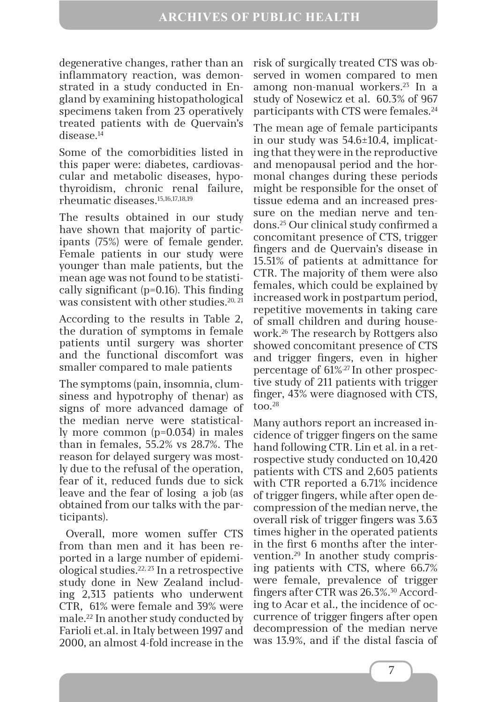degenerative changes, rather than an inflammatory reaction, was demonstrated in a study conducted in England by examining histopathological specimens taken from 23 operatively treated patients with de Quervain's disease.<sup>14</sup>

Some of the comorbidities listed in this paper were: diabetes, cardiovascular and metabolic diseases, hypothyroidism, chronic renal failure, rheumatic diseases.15,16,17,18,19

The results obtained in our study have shown that majority of participants (75%) were of female gender. Female patients in our study were younger than male patients, but the mean age was not found to be statistically significant (p=0.16). This finding was consistent with other studies.<sup>20, 21</sup>

According to the results in Table 2, the duration of symptoms in female patients until surgery was shorter and the functional discomfort was smaller compared to male patients

The symptoms (pain, insomnia, clumsiness and hypotrophy of thenar) as signs of more advanced damage of the median nerve were statistically more common (p=0.034) in males than in females, 55.2% vs 28.7%. The reason for delayed surgery was mostly due to the refusal of the operation, fear of it, reduced funds due to sick leаvе and the fear of losing а job (as obtained from our talks with the participants).

 Overall, more women suffer CTS from than men and it has been reported in a large number of epidemiological studies.22, 23 In a retrospective study done in New Zealand including 2,313 patients who underwent CTR, 61% were female and 39% were male.22 In another study conducted by Farioli et.al. in Italy between 1997 and 2000, an almost 4-fold increase in the

risk of surgically treated CTS was observed in women compared to men among non-manual workers.23 In a study of Nosewicz et al. 60.3% of 967 participants with CTS were females.24

The mean age of female participants in our study was 54.6±10.4, implicating that they were in the reproductive and menopausal period and the hormonal changes during these periods might be responsible for the onset of tissue edema and an increased pressure on the median nerve and tendons.25 Our clinical study confirmed a concomitant presence of CTS, trigger fingers and de Quervain's disease in 15.51% of patients at admittance for CTR. The majority of them were also females, which could be explained by increased work in postpartum period, repetitive movements in taking care of small children and during housework.26 The research by Rottgers also showed concomitant presence of CTS and trigger fingers, even in higher percentage of 61%.27 In other prospective study of 211 patients with trigger finger, 43% were diagnosed with CTS,  $\text{too.}^{28}$ 

Many authors report an increased incidence of trigger fingers on the same hand following CTR. Lin et al. in a retrospective study conducted on 10,420 patients with CTS and 2,605 patients with CTR reported a 6.71% incidence of trigger fingers, while after open decompression of the median nerve, the overall risk of trigger fingers was 3.63 times higher in the operated patients in the first 6 months after the intervention.29 In another study comprising patients with CTS, where 66.7% were female, prevalence of trigger fingers after CTR was 26.3%.30 According to Acar et al., the incidence of occurrence of trigger fingers after open decompression of the median nerve was 13.9%, and if the distal fascia of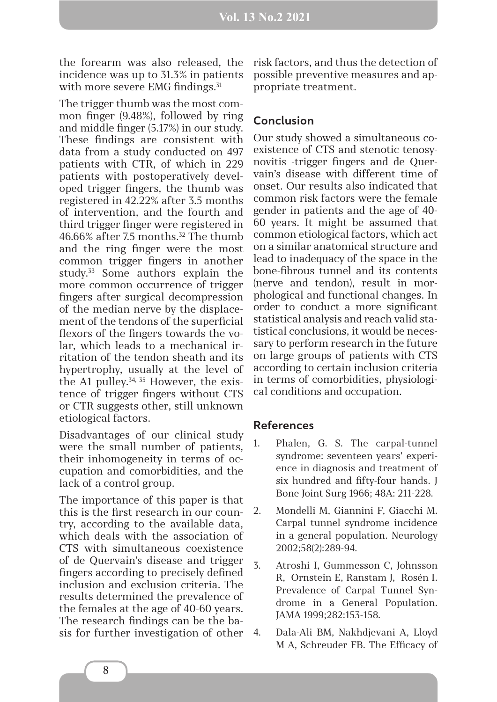the forearm was also released, the incidence was up to 31.3% in patients with more severe EMG findings.<sup>31</sup>

The trigger thumb was the most common finger (9.48%), followed by ring and middle finger (5.17%) in our study. These findings are consistent with data from a study conducted on 497 patients with CTR, of which in 229 patients with postoperatively developed trigger fingers, the thumb was registered in 42.22% after 3.5 months of intervention, and the fourth and third trigger finger were registered in 46.66% after 7.5 months.<sup>32</sup> The thumb and the ring finger were the most common trigger fingers in another study.<sup>33</sup> Some authors explain the more common occurrence of trigger fingers after surgical decompression of the median nerve by the displacement of the tendons of the superficial flexors of the fingers towards the volar, which leads to a mechanical irritation of the tendon sheath and its hypertrophy, usually at the level of the A1 pulley. $34, 35$  However, the existence of trigger fingers without CTS or CTR suggests other, still unknown etiological factors.

Disadvantages of our clinical study were the small number of patients, their inhomogeneity in terms of occupation and comorbidities, and the lack of a control group.

The importance of this paper is that this is the first research in our country, according to the available data, which deals with the association of CTS with simultaneous coexistence of de Quervain's disease and trigger fingers according to precisely defined inclusion and exclusion criteria. The results determined the prevalence of the females at the age of 40-60 years. The research findings can be the basis for further investigation of other risk factors, and thus the detection of possible preventive measures and appropriate treatment.

## **Conclusion**

Our study showed a simultaneous coexistence of CTS and stenotic tenosynovitis -trigger fingers and de Quervain's disease with different time of onset. Our results also indicated that common risk factors were the female gender in patients and the age of 40- 60 years. It might be assumed that common etiological factors, which act on a similar anatomical structure and lead to inadequacy of the space in the bone-fibrous tunnel and its contents (nerve and tendon), result in morphological and functional changes. In order to conduct a more significant statistical analysis and reach valid statistical conclusions, it would be necessary to perform research in the future on large groups of patients with CTS according to certain inclusion criteria in terms of comorbidities, physiological conditions and occupation.

## **References**

- 1. Phalen, G. S. The carpal-tunnel syndrome: seventeen years' experience in diagnosis and treatment of six hundred and fifty-four hands. J Bone Joint Surg 1966; 48A: 211-228.
- 2. Mondelli M, Giannini F, Giacchi M. Carpal tunnel syndrome incidence in a general population. Neurology 2002;58(2):289-94.
- 3. Atroshi I, Gummesson C, Johnsson R, Ornstein E, Ranstam J, Rosén I. Prevalence of Carpal Tunnel Syndrome in a General Population. JAMA 1999;282:153-158.
- 4. Dala-Ali BM, Nakhdjevani A, Lloyd M A, Schreuder FB. The Efficacy of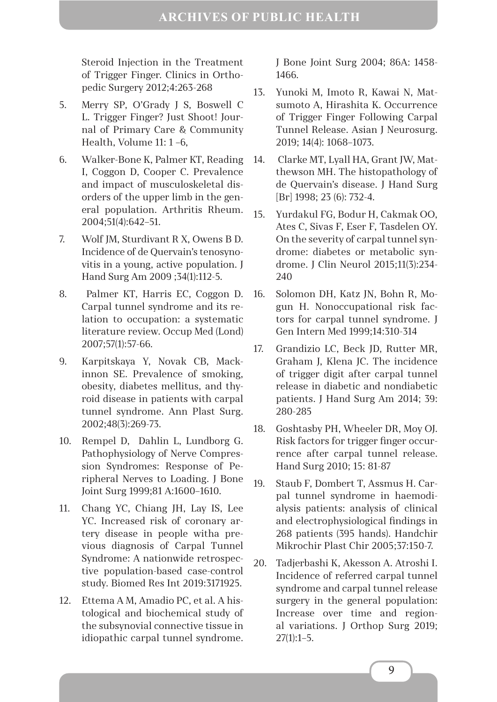Steroid Injection in the Treatment of Trigger Finger. Clinics in Orthopedic Surgery 2012;4:263-268

- 5. Merry SP, O'Grady J S, Boswell C L. Trigger Finger? Just Shoot! Journal of Primary Care & Community Health, Volume 11: 1 –6,
- 6. Walker-Bone K, Palmer KT, Reading I, Coggon D, Cooper C. Prevalence and impact of musculoskeletal disorders of the upper limb in the general population. Arthritis Rheum. 2004;51(4):642–51.
- 7. Wolf JM, Sturdivant R X, Owens B D. Incidence of de Quervain's tenosynovitis in a young, active population. J Hand Surg Am 2009 ;34(1):112-5.
- 8. Palmer KT, Harris EC, Coggon D. Carpal tunnel syndrome and its relation to occupation: a systematic literature review. Occup Med (Lond) 2007;57(1):57-66.
- 9. Karpitskaya Y, Novak CB, Mackinnon SE. Prevalence of smoking, obesity, diabetes mellitus, and thyroid disease in patients with carpal tunnel syndrome. Ann Plast Surg. 2002;48(3):269-73.
- 10. Rempel D, Dahlin L, Lundborg G. Pathophysiology of Nerve Compression Syndromes: Response of Peripheral Nerves to Loading. J Bone Joint Surg 1999;81 А:1600–1610.
- 11. Chang YC, Chiang JH, Lay IS, Lee YC. Increased risk of coronary artery disease in people witha previous diagnosis of Carpal Tunnel Syndrome: A nationwide retrospective population-based case-control study. Biomed Res Int 2019:3171925.
- 12. Ettema A M, Amadio PC, et al. A histological and biochemical study of the subsynovial connective tissue in idiopathic carpal tunnel syndrome.

J Bone Joint Surg 2004; 86A: 1458- 1466.

- 13. Yunoki M, Imoto R, Kawai N, Matsumoto A, Hirashita K. Occurrence of Trigger Finger Following Carpal Tunnel Release. Asian J Neurosurg. 2019; 14(4): 1068–1073.
- 14. Clarke MT, Lyall HA, Grant JW, Matthewson MH. The histopathology of de Quervain's disease. J Hand Surg [Br] 1998; 23 (6): 732-4.
- 15. Yurdakul FG, Bodur H, Cakmak OO, Ates C, Sivas F, Eser F, Tasdelen OY. Оn the severity of carpal tunnel syndrome: diabetes or metabolic syndrome. J Clin Neurol 2015;11(3):234- 240
- 16. Solomon DH, Katz JN, Bohn R, Mogun H. Nonoccupational risk factors for carpal tunnel syndrome. J Gen Intern Med 1999;14:310-314
- 17. Grandizio LC, Beck JD, Rutter MR, Graham J, Klena JC. The incidence of trigger digit after carpal tunnel release in diabetic and nondiabetic patients. J Hand Surg Am 2014; 39: 280-285
- 18. Goshtasby PH, Wheeler DR, Moy OJ. Risk factors for trigger finger occurrence after carpal tunnel release. Hand Surg 2010; 15: 81-87
- 19. Staub F, Dombert T, Assmus H. Carpal tunnel syndrome in haemodialysis patients: analysis of clinical and electrophysiological findings in 268 patients (395 hands). Handchir Mikrochir Plast Chir 2005;37:150-7.
- 20. Tadjerbashi K, Akesson A. Atroshi I. Incidence of referred carpal tunnel syndrome and carpal tunnel release surgery in the general population: Increase over time and regional variations. J Orthop Surg 2019; 27(1):1–5.